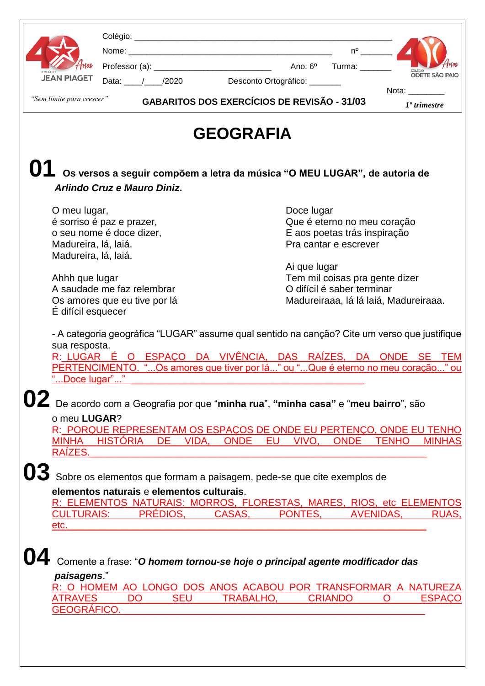|          |                                                                                                                                                                                                                                                                 |                 |           |                                                                           |                                                              |                  |    |                       |                             |             | $n^{\circ}$ |              |                |                           |
|----------|-----------------------------------------------------------------------------------------------------------------------------------------------------------------------------------------------------------------------------------------------------------------|-----------------|-----------|---------------------------------------------------------------------------|--------------------------------------------------------------|------------------|----|-----------------------|-----------------------------|-------------|-------------|--------------|----------------|---------------------------|
|          |                                                                                                                                                                                                                                                                 |                 |           |                                                                           |                                                              |                  |    |                       |                             |             |             |              |                |                           |
| cai Égia | <b>JEAN PIAGET</b>                                                                                                                                                                                                                                              |                 |           |                                                                           |                                                              |                  |    |                       |                             |             |             |              |                | COLÉGIO<br>ODETE SÃO PAIO |
|          |                                                                                                                                                                                                                                                                 |                 |           | Data: / / /2020 Desconto Ortográfico: //                                  |                                                              |                  |    |                       |                             |             |             |              | Nota:          |                           |
|          | "Sem limite para crescer"                                                                                                                                                                                                                                       |                 |           | <b>GABARITOS DOS EXERCÍCIOS DE REVISÃO - 31/03</b>                        |                                                              |                  |    |                       |                             |             |             |              | $1°$ trimestre |                           |
|          |                                                                                                                                                                                                                                                                 |                 |           |                                                                           |                                                              | <b>GEOGRAFIA</b> |    |                       |                             |             |             |              |                |                           |
|          | Arlindo Cruz e Mauro Diniz.                                                                                                                                                                                                                                     |                 |           | Os versos a seguir compõem a letra da música "O MEU LUGAR", de autoria de |                                                              |                  |    |                       |                             |             |             |              |                |                           |
|          | O meu lugar,                                                                                                                                                                                                                                                    |                 |           |                                                                           |                                                              |                  |    |                       | Doce lugar                  |             |             |              |                |                           |
|          | é sorriso é paz e prazer,                                                                                                                                                                                                                                       |                 |           |                                                                           |                                                              |                  |    |                       | Que é eterno no meu coração |             |             |              |                |                           |
|          | o seu nome é doce dizer,                                                                                                                                                                                                                                        |                 |           |                                                                           | E aos poetas trás inspiração                                 |                  |    |                       |                             |             |             |              |                |                           |
|          | Madureira, lá, laiá.                                                                                                                                                                                                                                            |                 |           |                                                                           |                                                              |                  |    | Pra cantar e escrever |                             |             |             |              |                |                           |
|          | Madureira, lá, laiá.                                                                                                                                                                                                                                            |                 |           |                                                                           |                                                              |                  |    |                       |                             |             |             |              |                |                           |
|          |                                                                                                                                                                                                                                                                 |                 |           |                                                                           |                                                              |                  |    |                       | Ai que lugar                |             |             |              |                |                           |
|          | Ahhh que lugar<br>A saudade me faz relembrar                                                                                                                                                                                                                    |                 |           |                                                                           | Tem mil coisas pra gente dizer<br>O difícil é saber terminar |                  |    |                       |                             |             |             |              |                |                           |
|          | Os amores que eu tive por lá                                                                                                                                                                                                                                    |                 |           |                                                                           | Madureiraaa, lá lá laiá, Madureiraaa.                        |                  |    |                       |                             |             |             |              |                |                           |
|          | É difícil esquecer                                                                                                                                                                                                                                              |                 |           |                                                                           |                                                              |                  |    |                       |                             |             |             |              |                |                           |
|          | - A categoria geográfica "LUGAR" assume qual sentido na canção? Cite um verso que justifique<br>sua resposta.<br>R: LUGAR É O ESPAÇO DA VIVÊNCIA, DAS RAÍZES, DA ONDE SE TEM<br>PERTENCIMENTO. "Os amores que tiver por lá" ou "Que é eterno no meu coração" ou |                 |           |                                                                           |                                                              |                  |    |                       |                             |             |             |              |                |                           |
|          | Doce lugar"                                                                                                                                                                                                                                                     |                 |           |                                                                           |                                                              |                  |    |                       |                             |             |             |              |                |                           |
|          | De acordo com a Geografia por que "minha rua", "minha casa" e "meu bairro", são<br>o meu LUGAR?<br>R: PORQUE REPRESENTAM OS ESPAÇOS DE ONDE EU PERTENÇO, ONDE EU TENHO<br><b>MINHA</b><br>RAÍZES.                                                               | <b>HISTÓRIA</b> |           | <b>DE</b>                                                                 | VIDA,                                                        | ONDE             | EU |                       | VIVO.                       | <b>ONDE</b> |             | <b>TENHO</b> |                | <b>MINHAS</b>             |
|          |                                                                                                                                                                                                                                                                 |                 |           |                                                                           |                                                              |                  |    |                       |                             |             |             |              |                |                           |
|          | Sobre os elementos que formam a paisagem, pede-se que cite exemplos de                                                                                                                                                                                          |                 |           |                                                                           |                                                              |                  |    |                       |                             |             |             |              |                |                           |
|          | elementos naturais e elementos culturais.                                                                                                                                                                                                                       |                 |           |                                                                           |                                                              |                  |    |                       |                             |             |             |              |                |                           |
|          | R: ELEMENTOS NATURAIS: MORROS, FLORESTAS, MARES, RIOS, etc ELEMENTOS                                                                                                                                                                                            |                 |           |                                                                           |                                                              |                  |    |                       |                             |             |             |              |                |                           |
|          | <b>CULTURAIS:</b>                                                                                                                                                                                                                                               |                 |           | PRÉDIOS,                                                                  |                                                              | CASAS,           |    | PONTES,               |                             |             | AVENIDAS,   |              |                |                           |
|          | etc.                                                                                                                                                                                                                                                            |                 |           |                                                                           |                                                              |                  |    |                       |                             |             |             |              |                |                           |
|          | Comente a frase: "O homem tornou-se hoje o principal agente modificador das<br>paisagens."                                                                                                                                                                      |                 |           |                                                                           |                                                              |                  |    |                       |                             |             |             |              |                |                           |
|          | R: O HOMEM AO LONGO DOS ANOS ACABOU POR TRANSFORMAR A NATUREZA                                                                                                                                                                                                  |                 |           |                                                                           |                                                              |                  |    |                       |                             |             |             |              |                |                           |
|          | <b>ATRAVES</b>                                                                                                                                                                                                                                                  |                 | <b>DO</b> | <b>SEU</b>                                                                |                                                              | <b>TRABALHO,</b> |    |                       | <b>CRIANDO</b>              |             |             | O            |                | <b>ESPACO</b>             |
|          | <b>GEOGRÁFICO.</b>                                                                                                                                                                                                                                              |                 |           |                                                                           |                                                              |                  |    |                       |                             |             |             |              |                |                           |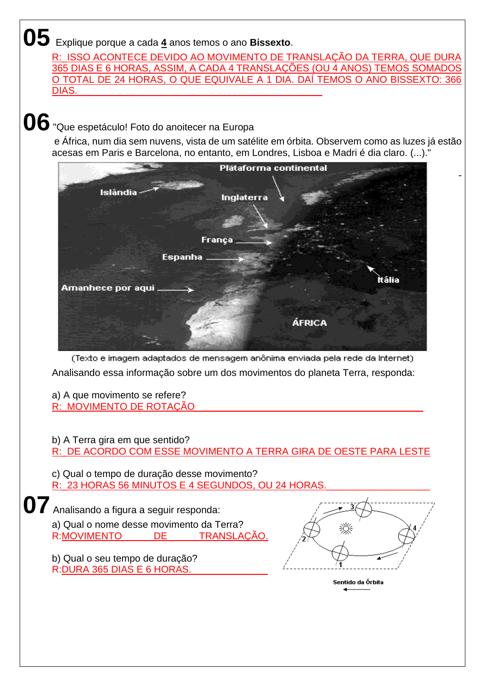**05** Explique porque a cada **<sup>4</sup>** anos temos o ano **Bissexto**.

R: ISSO ACONTECE DEVIDO AO MOVIMENTO DE TRANSLAÇÃO DA TERRA, QUE DURA 365 DIAS E 6 HORAS, ASSIM, A CADA 4 TRANSLAÇÕES (OU 4 ANOS) TEMOS SOMADOS O TOTAL DE 24 HORAS, O QUE EQUIVALE A 1 DIA. DAÍ TEMOS O ANO BISSEXTO: 366 DIAS.\_\_\_\_\_\_\_\_\_\_\_\_\_\_\_\_\_\_\_\_\_\_\_\_\_\_\_\_\_\_\_\_\_\_\_\_\_\_\_\_\_\_\_\_\_

**06**"Que espetáculo! Foto do anoitecer na Europa

e África, num dia sem nuvens, vista de um satélite em órbita. Observem como as luzes já estão acesas em Paris e Barcelona, no entanto, em Londres, Lisboa e Madri é dia claro. (...)."



(Texto e imagem adaptados de mensagem anônima enviada pela rede da Internet). Analisando essa informação sobre um dos movimentos do planeta Terra, responda:

a) A que movimento se refere? R:\_MOVIMENTO DE ROTAÇÃO

b) A Terra gira em que sentido?

R:\_DE ACORDO COM ESSE MOVIMENTO A TERRA GIRA DE OESTE PARA LESTE

c) Qual o tempo de duração desse movimento? R: 23 HORAS 56 MINUTOS E 4 SEGUNDOS, OU 24 HORAS

**07** Analisando a figura a seguir responda: a) Qual o nome desse movimento da Terra? R:MOVIMENTO DE TRANSLAÇÃO.

b) Qual o seu tempo de duração? R:DURA 365 DIAS E 6 HORAS.



-

Sentido da Órbita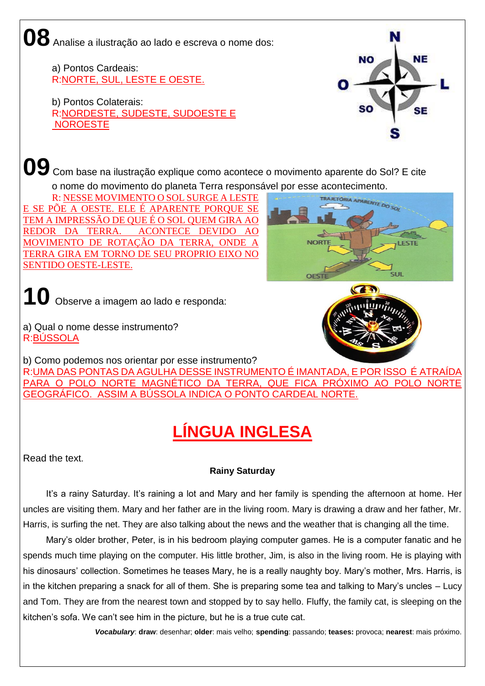**08** Analise a ilustração ao lado e escreva o nome dos:

a) Pontos Cardeais: R:NORTE, SUL, LESTE E OESTE.

b) Pontos Colaterais: R:NORDESTE, SUDESTE, SUDOESTE E NOROESTE



**09** Com base na ilustração explique como acontece o movimento aparente do Sol? E cite

o nome do movimento do planeta Terra responsável por esse acontecimento.<br>R: NESSE MOVIMENTO O SOL SURGE A LESTE

R: NESSE MOVIMENTO O SOL SURGE A LESTE E SE PÕE A OESTE. ELE É APARENTE PORQUE SE TEM A IMPRESSÃO DE QUE É O SOL QUEM GIRA AO REDOR DA TERRA. ACONTECE DEVIDO AO MOVIMENTO DE ROTAÇÃO DA TERRA, ONDE A TERRA GIRA EM TORNO DE SEU PROPRIO EIXO NO SENTIDO OESTE-LESTE.

**FSTE** 

**10** Observe a imagem ao lado e responda:

a) Qual o nome desse instrumento? R:BÚSSOLA

b) Como podemos nos orientar por esse instrumento?

R:UMA DAS PONTAS DA AGULHA DESSE INSTRUMENTO É IMANTADA, E POR ISSO É ATRAÍDA PARA O POLO NORTE MAGNÉTICO DA TERRA, QUE FICA PRÓXIMO AO POLO NORTE GEOGRÁFICO. ASSIM A BÚSSOLA INDICA O PONTO CARDEAL NORTE.

## **LÍNGUA INGLESA**

Read the text.

## **Rainy Saturday**

It's a rainy Saturday. It's raining a lot and Mary and her family is spending the afternoon at home. Her uncles are visiting them. Mary and her father are in the living room. Mary is drawing a draw and her father, Mr. Harris, is surfing the net. They are also talking about the news and the weather that is changing all the time.

Mary's older brother, Peter, is in his bedroom playing computer games. He is a computer fanatic and he spends much time playing on the computer. His little brother, Jim, is also in the living room. He is playing with his dinosaurs' collection. Sometimes he teases Mary, he is a really naughty boy. Mary's mother, Mrs. Harris, is in the kitchen preparing a snack for all of them. She is preparing some tea and talking to Mary's uncles – Lucy and Tom. They are from the nearest town and stopped by to say hello. Fluffy, the family cat, is sleeping on the kitchen's sofa. We can't see him in the picture, but he is a true cute cat.

*Vocabulary*: **draw**: desenhar; **older**: mais velho; **spending**: passando; **teases:** provoca; **nearest**: mais próximo.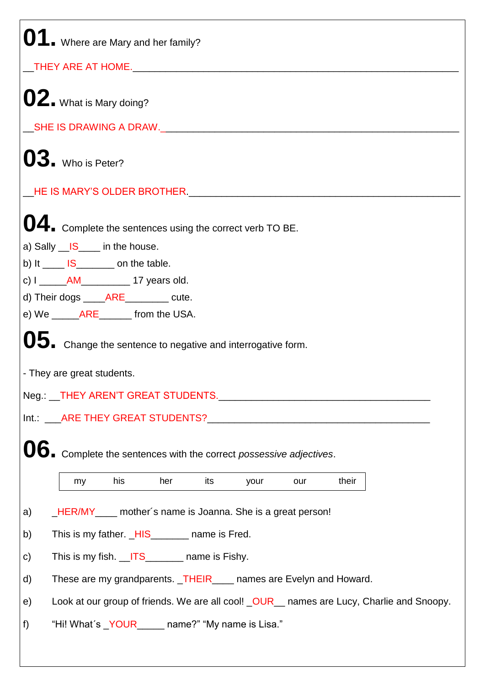| 01. Where are Mary and her family?                                                             |  |  |  |  |  |  |  |
|------------------------------------------------------------------------------------------------|--|--|--|--|--|--|--|
|                                                                                                |  |  |  |  |  |  |  |
| 02. What is Mary doing?                                                                        |  |  |  |  |  |  |  |
|                                                                                                |  |  |  |  |  |  |  |
| $\mathbf{03}_{\blacksquare}$ Who is Peter?                                                     |  |  |  |  |  |  |  |
|                                                                                                |  |  |  |  |  |  |  |
| <b>04.</b> Complete the sentences using the correct verb TO BE.                                |  |  |  |  |  |  |  |
| a) Sally $\underline{\hspace{1em}}$ IS in the house.                                           |  |  |  |  |  |  |  |
| b) It $\frac{1}{\sqrt{5}}$ IS on the table.                                                    |  |  |  |  |  |  |  |
| c) $I_{\text{max}}$ AM 17 years old.                                                           |  |  |  |  |  |  |  |
| d) Their dogs ______ARE__________ cute.                                                        |  |  |  |  |  |  |  |
| e) We ___________________________ from the USA.                                                |  |  |  |  |  |  |  |
| 05. Change the sentence to negative and interrogative form.                                    |  |  |  |  |  |  |  |
| - They are great students.                                                                     |  |  |  |  |  |  |  |
|                                                                                                |  |  |  |  |  |  |  |
|                                                                                                |  |  |  |  |  |  |  |
| 06. Complete the sentences with the correct possessive adjectives.                             |  |  |  |  |  |  |  |
| his<br>their<br>her<br>its<br>my<br>your<br>our                                                |  |  |  |  |  |  |  |
| <b>HER/MY</b> mother's name is Joanna. She is a great person!<br>a)                            |  |  |  |  |  |  |  |
| This is my father. HIS _______ name is Fred.<br>b)                                             |  |  |  |  |  |  |  |
| This is my fish. __ITS_________ name is Fishy.                                                 |  |  |  |  |  |  |  |
| d)<br>These are my grandparents. _THEIR____ names are Evelyn and Howard.                       |  |  |  |  |  |  |  |
| Look at our group of friends. We are all cool! _OUR_ names are Lucy, Charlie and Snoopy.<br>e) |  |  |  |  |  |  |  |
| "Hi! What's <u>YOUR</u> name?" "My name is Lisa."<br>f)                                        |  |  |  |  |  |  |  |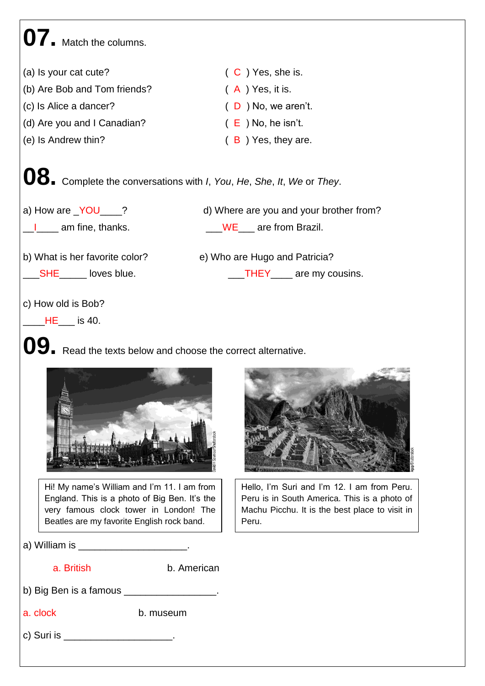# **07.** Match the columns.

(a) Is your cat cute?  $(C)$  Yes, she is. (b) Are Bob and Tom friends?  $(A)$  Yes, it is. (c) Is Alice a dancer? ( D ) No, we aren't. (d) Are you and I Canadian?  $(E)$  No, he isn't. (e) Is Andrew thin? ( B ) Yes, they are.

**08.** Complete the conversations with *I*, *You*, *He*, *She*, *It*, *We* or *They*.

a) How are <u>YOU</u> ? d) Where are you and your brother from? I am fine, thanks. The South Control of the South Area are from Brazil.

b) What is her favorite color? e) Who are Hugo and Patricia?

Latter SHE Latter loves blue. THEY are my cousins.

c) How old is Bob?

 $HE_{\_\_\_\_\$  is 40.



**09.** Read the texts below and choose the correct alternative.



Hi! My name's William and I'm 11. I am from England. This is a photo of Big Ben. It's the very famous clock tower in London! The Beatles are my favorite English rock band.

a) William is **and the set of the set of the set of the set of the set of the set of the set of the set of the s** 

a. British b. American

b) Big Ben is a famous \_\_\_\_\_\_\_\_\_\_\_\_\_\_\_\_\_.

a. clock b. museum

c) Suri is \_\_\_\_\_\_\_\_\_\_\_\_\_\_\_\_\_\_\_\_\_\_\_.



Hello, I'm Suri and I'm 12. I am from Peru. Peru is in South America. This is a photo of Machu Picchu. It is the best place to visit in Peru.